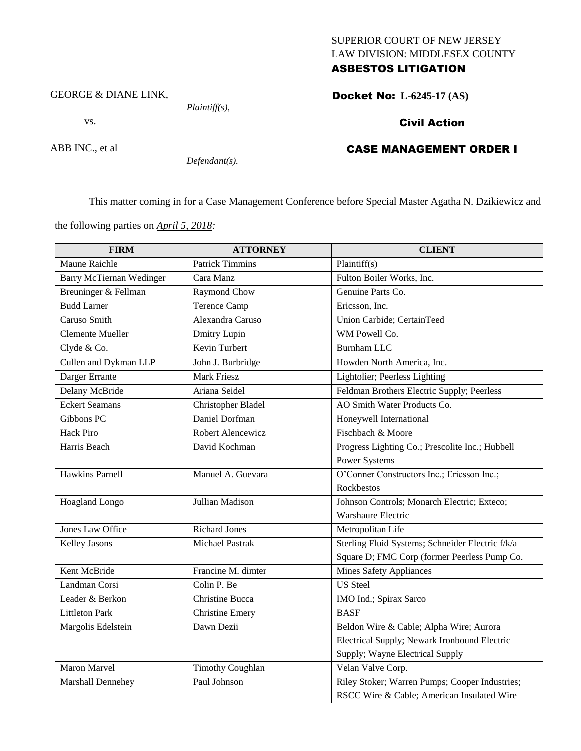## SUPERIOR COURT OF NEW JERSEY LAW DIVISION: MIDDLESEX COUNTY ASBESTOS LITIGATION

GEORGE & DIANE LINK,

vs.

ABB INC., et al

*Defendant(s).*

*Plaintiff(s),*

## Docket No: **L-6245-17 (AS)**

# Civil Action

## CASE MANAGEMENT ORDER I

This matter coming in for a Case Management Conference before Special Master Agatha N. Dzikiewicz and

the following parties on *April 5, 2018:*

| <b>FIRM</b>                     | <b>ATTORNEY</b>         | <b>CLIENT</b>                                    |
|---------------------------------|-------------------------|--------------------------------------------------|
| Maune Raichle                   | <b>Patrick Timmins</b>  | Plaintiff(s)                                     |
| <b>Barry McTiernan Wedinger</b> | Cara Manz               | Fulton Boiler Works, Inc.                        |
| Breuninger & Fellman            | Raymond Chow            | Genuine Parts Co.                                |
| <b>Budd Larner</b>              | <b>Terence Camp</b>     | Ericsson, Inc.                                   |
| Caruso Smith                    | Alexandra Caruso        | Union Carbide; CertainTeed                       |
| <b>Clemente Mueller</b>         | Dmitry Lupin            | WM Powell Co.                                    |
| Clyde & Co.                     | Kevin Turbert           | <b>Burnham LLC</b>                               |
| Cullen and Dykman LLP           | John J. Burbridge       | Howden North America, Inc.                       |
| Darger Errante                  | <b>Mark Friesz</b>      | Lightolier; Peerless Lighting                    |
| Delany McBride                  | Ariana Seidel           | Feldman Brothers Electric Supply; Peerless       |
| <b>Eckert Seamans</b>           | Christopher Bladel      | AO Smith Water Products Co.                      |
| Gibbons PC                      | Daniel Dorfman          | Honeywell International                          |
| <b>Hack Piro</b>                | Robert Alencewicz       | Fischbach & Moore                                |
| Harris Beach                    | David Kochman           | Progress Lighting Co.; Prescolite Inc.; Hubbell  |
|                                 |                         | Power Systems                                    |
| <b>Hawkins Parnell</b>          | Manuel A. Guevara       | O'Conner Constructors Inc.; Ericsson Inc.;       |
|                                 |                         | Rockbestos                                       |
| <b>Hoagland Longo</b>           | Jullian Madison         | Johnson Controls; Monarch Electric; Exteco;      |
|                                 |                         | Warshaure Electric                               |
| <b>Jones Law Office</b>         | <b>Richard Jones</b>    | Metropolitan Life                                |
| <b>Kelley Jasons</b>            | <b>Michael Pastrak</b>  | Sterling Fluid Systems; Schneider Electric f/k/a |
|                                 |                         | Square D; FMC Corp (former Peerless Pump Co.     |
| Kent McBride                    | Francine M. dimter      | <b>Mines Safety Appliances</b>                   |
| Landman Corsi                   | Colin P. Be             | <b>US</b> Steel                                  |
| Leader & Berkon                 | <b>Christine Bucca</b>  | IMO Ind.; Spirax Sarco                           |
| <b>Littleton Park</b>           | <b>Christine Emery</b>  | <b>BASF</b>                                      |
| Margolis Edelstein              | Dawn Dezii              | Beldon Wire & Cable; Alpha Wire; Aurora          |
|                                 |                         | Electrical Supply; Newark Ironbound Electric     |
|                                 |                         | Supply; Wayne Electrical Supply                  |
| <b>Maron Marvel</b>             | <b>Timothy Coughlan</b> | Velan Valve Corp.                                |
| Marshall Dennehey               | Paul Johnson            | Riley Stoker; Warren Pumps; Cooper Industries;   |
|                                 |                         | RSCC Wire & Cable; American Insulated Wire       |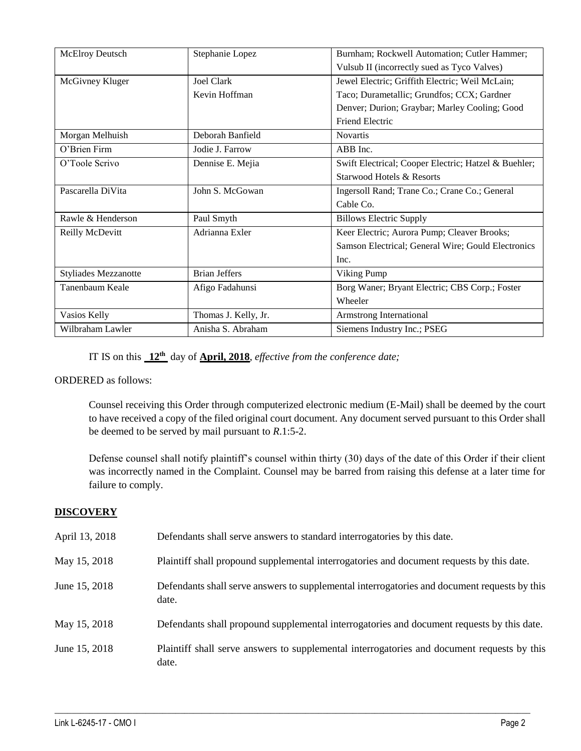| <b>McElroy Deutsch</b>      | Stephanie Lopez      | Burnham; Rockwell Automation; Cutler Hammer;         |
|-----------------------------|----------------------|------------------------------------------------------|
|                             |                      | Vulsub II (incorrectly sued as Tyco Valves)          |
| McGivney Kluger             | Joel Clark           | Jewel Electric; Griffith Electric; Weil McLain;      |
|                             | Kevin Hoffman        | Taco; Durametallic; Grundfos; CCX; Gardner           |
|                             |                      | Denver; Durion; Graybar; Marley Cooling; Good        |
|                             |                      | <b>Friend Electric</b>                               |
| Morgan Melhuish             | Deborah Banfield     | <b>Novartis</b>                                      |
| O'Brien Firm                | Jodie J. Farrow      | ABB Inc.                                             |
| O'Toole Scrivo              | Dennise E. Mejia     | Swift Electrical; Cooper Electric; Hatzel & Buehler; |
|                             |                      | Starwood Hotels & Resorts                            |
| Pascarella DiVita           | John S. McGowan      | Ingersoll Rand; Trane Co.; Crane Co.; General        |
|                             |                      | Cable Co.                                            |
| Rawle & Henderson           | Paul Smyth           | <b>Billows Electric Supply</b>                       |
| Reilly McDevitt             | Adrianna Exler       | Keer Electric; Aurora Pump; Cleaver Brooks;          |
|                             |                      | Samson Electrical; General Wire; Gould Electronics   |
|                             |                      | Inc.                                                 |
| <b>Styliades Mezzanotte</b> | <b>Brian Jeffers</b> | Viking Pump                                          |
| Tanenbaum Keale             | Afigo Fadahunsi      | Borg Waner; Bryant Electric; CBS Corp.; Foster       |
|                             |                      | Wheeler                                              |
| Vasios Kelly                | Thomas J. Kelly, Jr. | Armstrong International                              |
| Wilbraham Lawler            | Anisha S. Abraham    | Siemens Industry Inc.; PSEG                          |

IT IS on this **12th** day of **April, 2018**, *effective from the conference date;*

## ORDERED as follows:

Counsel receiving this Order through computerized electronic medium (E-Mail) shall be deemed by the court to have received a copy of the filed original court document. Any document served pursuant to this Order shall be deemed to be served by mail pursuant to *R*.1:5-2.

Defense counsel shall notify plaintiff's counsel within thirty (30) days of the date of this Order if their client was incorrectly named in the Complaint. Counsel may be barred from raising this defense at a later time for failure to comply.

# **DISCOVERY**

| April 13, 2018 | Defendants shall serve answers to standard interrogatories by this date.                              |
|----------------|-------------------------------------------------------------------------------------------------------|
| May 15, 2018   | Plaintiff shall propound supplemental interrogatories and document requests by this date.             |
| June 15, 2018  | Defendants shall serve answers to supplemental interrogatories and document requests by this<br>date. |
| May 15, 2018   | Defendants shall propound supplemental interrogatories and document requests by this date.            |
| June 15, 2018  | Plaintiff shall serve answers to supplemental interrogatories and document requests by this<br>date.  |

 $\_$  ,  $\_$  ,  $\_$  ,  $\_$  ,  $\_$  ,  $\_$  ,  $\_$  ,  $\_$  ,  $\_$  ,  $\_$  ,  $\_$  ,  $\_$  ,  $\_$  ,  $\_$  ,  $\_$  ,  $\_$  ,  $\_$  ,  $\_$  ,  $\_$  ,  $\_$  ,  $\_$  ,  $\_$  ,  $\_$  ,  $\_$  ,  $\_$  ,  $\_$  ,  $\_$  ,  $\_$  ,  $\_$  ,  $\_$  ,  $\_$  ,  $\_$  ,  $\_$  ,  $\_$  ,  $\_$  ,  $\_$  ,  $\_$  ,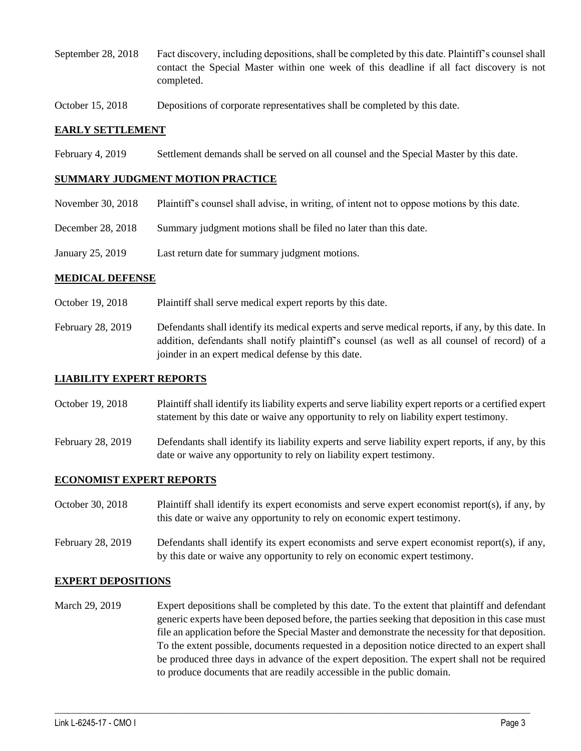- September 28, 2018 Fact discovery, including depositions, shall be completed by this date. Plaintiff's counsel shall contact the Special Master within one week of this deadline if all fact discovery is not completed.
- October 15, 2018 Depositions of corporate representatives shall be completed by this date.

#### **EARLY SETTLEMENT**

February 4, 2019 Settlement demands shall be served on all counsel and the Special Master by this date.

#### **SUMMARY JUDGMENT MOTION PRACTICE**

- November 30, 2018 Plaintiff's counsel shall advise, in writing, of intent not to oppose motions by this date.
- December 28, 2018 Summary judgment motions shall be filed no later than this date.
- January 25, 2019 Last return date for summary judgment motions.

#### **MEDICAL DEFENSE**

- October 19, 2018 Plaintiff shall serve medical expert reports by this date.
- February 28, 2019 Defendants shall identify its medical experts and serve medical reports, if any, by this date. In addition, defendants shall notify plaintiff's counsel (as well as all counsel of record) of a joinder in an expert medical defense by this date.

#### **LIABILITY EXPERT REPORTS**

- October 19, 2018 Plaintiff shall identify its liability experts and serve liability expert reports or a certified expert statement by this date or waive any opportunity to rely on liability expert testimony.
- February 28, 2019 Defendants shall identify its liability experts and serve liability expert reports, if any, by this date or waive any opportunity to rely on liability expert testimony.

## **ECONOMIST EXPERT REPORTS**

- October 30, 2018 Plaintiff shall identify its expert economists and serve expert economist report(s), if any, by this date or waive any opportunity to rely on economic expert testimony.
- February 28, 2019 Defendants shall identify its expert economists and serve expert economist report(s), if any, by this date or waive any opportunity to rely on economic expert testimony.

## **EXPERT DEPOSITIONS**

March 29, 2019 Expert depositions shall be completed by this date. To the extent that plaintiff and defendant generic experts have been deposed before, the parties seeking that deposition in this case must file an application before the Special Master and demonstrate the necessity for that deposition. To the extent possible, documents requested in a deposition notice directed to an expert shall be produced three days in advance of the expert deposition. The expert shall not be required to produce documents that are readily accessible in the public domain.

 $\_$  ,  $\_$  ,  $\_$  ,  $\_$  ,  $\_$  ,  $\_$  ,  $\_$  ,  $\_$  ,  $\_$  ,  $\_$  ,  $\_$  ,  $\_$  ,  $\_$  ,  $\_$  ,  $\_$  ,  $\_$  ,  $\_$  ,  $\_$  ,  $\_$  ,  $\_$  ,  $\_$  ,  $\_$  ,  $\_$  ,  $\_$  ,  $\_$  ,  $\_$  ,  $\_$  ,  $\_$  ,  $\_$  ,  $\_$  ,  $\_$  ,  $\_$  ,  $\_$  ,  $\_$  ,  $\_$  ,  $\_$  ,  $\_$  ,